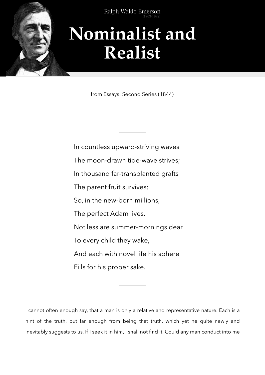

Type to enter the top that the second text of the second text of the second text of the second text of the second text of the second text of the second text of the second text of the second text of the second text of the s

## **Nominalist and Realist**

from Essays: Second Series (1844)

In countless upward-striving waves The moon-drawn tide-wave strives; In thousand far-transplanted grafts The parent fruit survives; So, in the new-born millions, The perfect Adam lives. Not less are summer-mornings dear To every child they wake, And each with novel life his sphere Fills for his proper sake.

I cannot often enough say, that a man is only a relative and representative nature. Each is a hint of the truth, but far enough from being that truth, which yet he quite newly and inevitably suggests to us. If I seek it in him, I shall not find it. Could any man conduct into me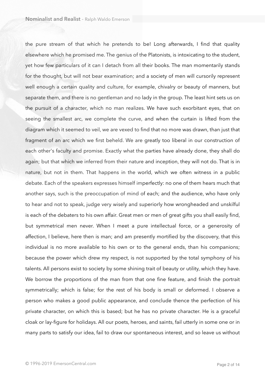the pure stream of that which he pretends to be! Long afterwards, I find that quality elsewhere which he promised me. The genius of the Platonists, is intoxicating to the student, yet how few particulars of it can I detach from all their books. The man momentarily stands for the thought, but will not bear examination; and a society of men will cursorily represent well enough a certain quality and culture, for example, chivalry or beauty of manners, but separate them, and there is no gentleman and no lady in the group. The least hint sets us on the pursuit of a character, which no man realizes. We have such exorbitant eyes, that on seeing the smallest arc, we complete the curve, and when the curtain is lifted from the diagram which it seemed to veil, we are vexed to find that no more was drawn, than just that fragment of an arc which we first beheld. We are greatly too liberal in our construction of each other's faculty and promise. Exactly what the parties have already done, they shall do again; but that which we inferred from their nature and inception, they will not do. That is in nature, but not in them. That happens in the world, which we often witness in a public debate. Each of the speakers expresses himself imperfectly: no one of them hears much that another says, such is the preoccupation of mind of each; and the audience, who have only to hear and not to speak, judge very wisely and superiorly how wrongheaded and unskilful is each of the debaters to his own affair. Great men or men of great gifts you shall easily find, but symmetrical men never. When I meet a pure intellectual force, or a generosity of affection, I believe, here then is man; and am presently mortified by the discovery, that this individual is no more available to his own or to the general ends, than his companions; because the power which drew my respect, is not supported by the total symphony of his talents. All persons exist to society by some shining trait of beauty or utility, which they have. We borrow the proportions of the man from that one fine feature, and finish the portrait symmetrically; which is false; for the rest of his body is small or deformed. I observe a person who makes a good public appearance, and conclude thence the perfection of his private character, on which this is based; but he has no private character. He is a graceful cloak or lay-figure for holidays. All our poets, heroes, and saints, fail utterly in some one or in many parts to satisfy our idea, fail to draw our spontaneous interest, and so leave us without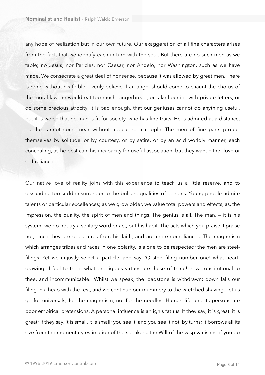any hope of realization but in our own future. Our exaggeration of all fine characters arises from the fact, that we identify each in turn with the soul. But there are no such men as we fable; no Jesus, nor Pericles, nor Caesar, nor Angelo, nor Washington, such as we have made. We consecrate a great deal of nonsense, because it was allowed by great men. There is none without his foible. I verily believe if an angel should come to chaunt the chorus of the moral law, he would eat too much gingerbread, or take liberties with private letters, or do some precious atrocity. It is bad enough, that our geniuses cannot do anything useful, but it is worse that no man is fit for society, who has fine traits. He is admired at a distance, but he cannot come near without appearing a cripple. The men of fine parts protect themselves by solitude, or by courtesy, or by satire, or by an acid worldly manner, each concealing, as he best can, his incapacity for useful association, but they want either love or self-reliance.

Our native love of reality joins with this experience to teach us a little reserve, and to dissuade a too sudden surrender to the brilliant qualities of persons. Young people admire talents or particular excellences; as we grow older, we value total powers and effects, as, the impression, the quality, the spirit of men and things. The genius is all. The man, — it is his system: we do not try a solitary word or act, but his habit. The acts which you praise, I praise not, since they are departures from his faith, and are mere compliances. The magnetism which arranges tribes and races in one polarity, is alone to be respected; the men are steelfilings. Yet we unjustly select a particle, and say, 'O steel-filing number one! what heartdrawings I feel to thee! what prodigious virtues are these of thine! how constitutional to thee, and incommunicable.' Whilst we speak, the loadstone is withdrawn; down falls our filing in a heap with the rest, and we continue our mummery to the wretched shaving. Let us go for universals; for the magnetism, not for the needles. Human life and its persons are poor empirical pretensions. A personal influence is an ignis fatuus. If they say, it is great, it is great; if they say, it is small, it is small; you see it, and you see it not, by turns; it borrows all its size from the momentary estimation of the speakers: the Will-of-the-wisp vanishes, if you go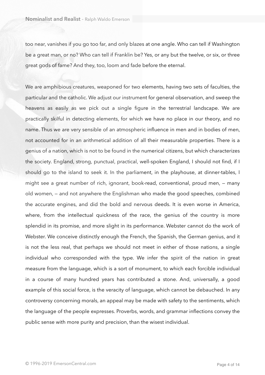too near, vanishes if you go too far, and only blazes at one angle. Who can tell if Washington be a great man, or no? Who can tell if Franklin be? Yes, or any but the twelve, or six, or three great gods of fame? And they, too, loom and fade before the eternal.

We are amphibious creatures, weaponed for two elements, having two sets of faculties, the particular and the catholic. We adjust our instrument for general observation, and sweep the heavens as easily as we pick out a single figure in the terrestrial landscape. We are practically skilful in detecting elements, for which we have no place in our theory, and no name. Thus we are very sensible of an atmospheric influence in men and in bodies of men, not accounted for in an arithmetical addition of all their measurable properties. There is a genius of a nation, which is not to be found in the numerical citizens, but which characterizes the society. England, strong, punctual, practical, well-spoken England, I should not find, if I should go to the island to seek it. In the parliament, in the playhouse, at dinner-tables, I might see a great number of rich, ignorant, book-read, conventional, proud men, — many old women, — and not anywhere the Englishman who made the good speeches, combined the accurate engines, and did the bold and nervous deeds. It is even worse in America, where, from the intellectual quickness of the race, the genius of the country is more splendid in its promise, and more slight in its performance. Webster cannot do the work of Webster. We conceive distinctly enough the French, the Spanish, the German genius, and it is not the less real, that perhaps we should not meet in either of those nations, a single individual who corresponded with the type. We infer the spirit of the nation in great measure from the language, which is a sort of monument, to which each forcible individual in a course of many hundred years has contributed a stone. And, universally, a good example of this social force, is the veracity of language, which cannot be debauched. In any controversy concerning morals, an appeal may be made with safety to the sentiments, which the language of the people expresses. Proverbs, words, and grammar inflections convey the public sense with more purity and precision, than the wisest individual.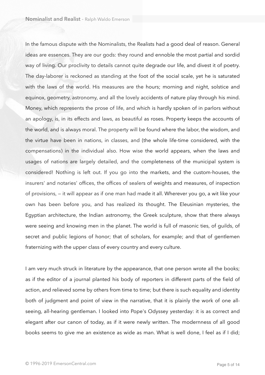In the famous dispute with the Nominalists, the Realists had a good deal of reason. General ideas are essences. They are our gods: they round and ennoble the most partial and sordid way of living. Our proclivity to details cannot quite degrade our life, and divest it of poetry. The day-laborer is reckoned as standing at the foot of the social scale, yet he is saturated with the laws of the world. His measures are the hours; morning and night, solstice and equinox, geometry, astronomy, and all the lovely accidents of nature play through his mind. Money, which represents the prose of life, and which is hardly spoken of in parlors without an apology, is, in its effects and laws, as beautiful as roses. Property keeps the accounts of the world, and is always moral. The property will be found where the labor, the wisdom, and the virtue have been in nations, in classes, and (the whole life-time considered, with the compensations) in the individual also. How wise the world appears, when the laws and usages of nations are largely detailed, and the completeness of the municipal system is considered! Nothing is left out. If you go into the markets, and the custom-houses, the insurers' and notaries' offices, the offices of sealers of weights and measures, of inspection of provisions, — it will appear as if one man had made it all. Wherever you go, a wit like your own has been before you, and has realized its thought. The Eleusinian mysteries, the Egyptian architecture, the Indian astronomy, the Greek sculpture, show that there always were seeing and knowing men in the planet. The world is full of masonic ties, of guilds, of secret and public legions of honor; that of scholars, for example; and that of gentlemen fraternizing with the upper class of every country and every culture.

I am very much struck in literature by the appearance, that one person wrote all the books; as if the editor of a journal planted his body of reporters in different parts of the field of action, and relieved some by others from time to time; but there is such equality and identity both of judgment and point of view in the narrative, that it is plainly the work of one allseeing, all-hearing gentleman. I looked into Pope's Odyssey yesterday: it is as correct and elegant after our canon of today, as if it were newly written. The modernness of all good books seems to give me an existence as wide as man. What is well done, I feel as if I did;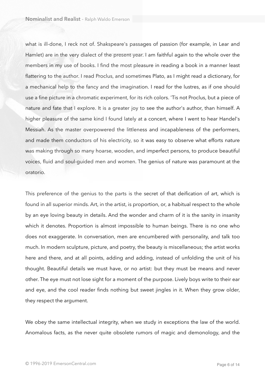what is ill-done, I reck not of. Shakspeare's passages of passion (for example, in Lear and Hamlet) are in the very dialect of the present year. I am faithful again to the whole over the members in my use of books. I find the most pleasure in reading a book in a manner least flattering to the author. I read Proclus, and sometimes Plato, as I might read a dictionary, for a mechanical help to the fancy and the imagination. I read for the lustres, as if one should use a fine picture in a chromatic experiment, for its rich colors. 'Tis not Proclus, but a piece of nature and fate that I explore. It is a greater joy to see the author's author, than himself. A higher pleasure of the same kind I found lately at a concert, where I went to hear Handel's Messiah. As the master overpowered the littleness and incapableness of the performers, and made them conductors of his electricity, so it was easy to observe what efforts nature was making through so many hoarse, wooden, and imperfect persons, to produce beautiful voices, fluid and soul-guided men and women. The genius of nature was paramount at the oratorio.

This preference of the genius to the parts is the secret of that deification of art, which is found in all superior minds. Art, in the artist, is proportion, or, a habitual respect to the whole by an eye loving beauty in details. And the wonder and charm of it is the sanity in insanity which it denotes. Proportion is almost impossible to human beings. There is no one who does not exaggerate. In conversation, men are encumbered with personality, and talk too much. In modern sculpture, picture, and poetry, the beauty is miscellaneous; the artist works here and there, and at all points, adding and adding, instead of unfolding the unit of his thought. Beautiful details we must have, or no artist: but they must be means and never other. The eye must not lose sight for a moment of the purpose. Lively boys write to their ear and eye, and the cool reader finds nothing but sweet jingles in it. When they grow older, they respect the argument.

We obey the same intellectual integrity, when we study in exceptions the law of the world. Anomalous facts, as the never quite obsolete rumors of magic and demonology, and the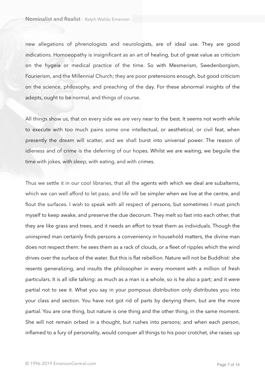new allegations of phrenologists and neurologists, are of ideal use. They are good indications. Homoeopathy is insignificant as an art of healing, but of great value as criticism on the hygeia or medical practice of the time. So with Mesmerism, Swedenborgism, Fourierism, and the Millennial Church; they are poor pretensions enough, but good criticism on the science, philosophy, and preaching of the day. For these abnormal insights of the adepts, ought to be normal, and things of course.

All things show us, that on every side we are very near to the best. It seems not worth while to execute with too much pains some one intellectual, or aesthetical, or civil feat, when presently the dream will scatter, and we shall burst into universal power. The reason of idleness and of crime is the deferring of our hopes. Whilst we are waiting, we beguile the time with jokes, with sleep, with eating, and with crimes.

Thus we settle it in our cool libraries, that all the agents with which we deal are subalterns, which we can well afford to let pass, and life will be simpler when we live at the centre, and flout the surfaces. I wish to speak with all respect of persons, but sometimes I must pinch myself to keep awake, and preserve the due decorum. They melt so fast into each other, that they are like grass and trees, and it needs an effort to treat them as individuals. Though the uninspired man certainly finds persons a conveniency in household matters, the divine man does not respect them: he sees them as a rack of clouds, or a fleet of ripples which the wind drives over the surface of the water. But this is flat rebellion. Nature will not be Buddhist: she resents generalizing, and insults the philosopher in every moment with a million of fresh particulars. It is all idle talking: as much as a man is a whole, so is he also a part; and it were partial not to see it. What you say in your pompous distribution only distributes you into your class and section. You have not got rid of parts by denying them, but are the more partial. You are one thing, but nature is one thing and the other thing, in the same moment. She will not remain orbed in a thought, but rushes into persons; and when each person, inflamed to a fury of personality, would conquer all things to his poor crotchet, she raises up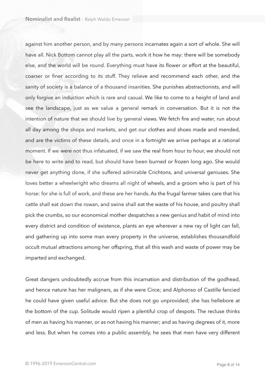against him another person, and by many persons incarnates again a sort of whole. She will have all. Nick Bottom cannot play all the parts, work it how he may: there will be somebody else, and the world will be round. Everything must have its flower or effort at the beautiful, coarser or finer according to its stuff. They relieve and recommend each other, and the sanity of society is a balance of a thousand insanities. She punishes abstractionists, and will only forgive an induction which is rare and casual. We like to come to a height of land and see the landscape, just as we value a general remark in conversation. But it is not the intention of nature that we should live by general views. We fetch fire and water, run about all day among the shops and markets, and get our clothes and shoes made and mended, and are the victims of these details, and once in a fortnight we arrive perhaps at a rational moment. If we were not thus infatuated, if we saw the real from hour to hour, we should not be here to write and to read, but should have been burned or frozen long ago. She would never get anything done, if she suffered admirable Crichtons, and universal geniuses. She loves better a wheelwright who dreams all night of wheels, and a groom who is part of his horse: for she is full of work, and these are her hands. As the frugal farmer takes care that his cattle shall eat down the rowan, and swine shall eat the waste of his house, and poultry shall pick the crumbs, so our economical mother despatches a new genius and habit of mind into every district and condition of existence, plants an eye wherever a new ray of light can fall, and gathering up into some man every property in the universe, establishes thousandfold occult mutual attractions among her offspring, that all this wash and waste of power may be imparted and exchanged.

Great dangers undoubtedly accrue from this incarnation and distribution of the godhead, and hence nature has her maligners, as if she were Circe; and Alphonso of Castille fancied he could have given useful advice. But she does not go unprovided; she has hellebore at the bottom of the cup. Solitude would ripen a plentiful crop of despots. The recluse thinks of men as having his manner, or as not having his manner; and as having degrees of it, more and less. But when he comes into a public assembly, he sees that men have very different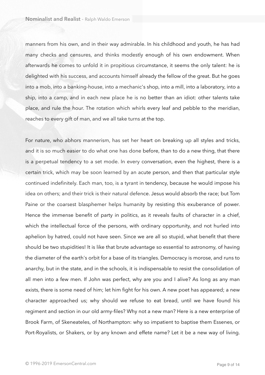manners from his own, and in their way admirable. In his childhood and youth, he has had many checks and censures, and thinks modestly enough of his own endowment. When afterwards he comes to unfold it in propitious circumstance, it seems the only talent: he is delighted with his success, and accounts himself already the fellow of the great. But he goes into a mob, into a banking-house, into a mechanic's shop, into a mill, into a laboratory, into a ship, into a camp, and in each new place he is no better than an idiot: other talents take place, and rule the hour. The rotation which whirls every leaf and pebble to the meridian, reaches to every gift of man, and we all take turns at the top.

For nature, who abhors mannerism, has set her heart on breaking up all styles and tricks, and it is so much easier to do what one has done before, than to do a new thing, that there is a perpetual tendency to a set mode. In every conversation, even the highest, there is a certain trick, which may be soon learned by an acute person, and then that particular style continued indefinitely. Each man, too, is a tyrant in tendency, because he would impose his idea on others; and their trick is their natural defence. Jesus would absorb the race; but Tom Paine or the coarsest blasphemer helps humanity by resisting this exuberance of power. Hence the immense benefit of party in politics, as it reveals faults of character in a chief, which the intellectual force of the persons, with ordinary opportunity, and not hurled into aphelion by hatred, could not have seen. Since we are all so stupid, what benefit that there should be two stupidities! It is like that brute advantage so essential to astronomy, of having the diameter of the earth's orbit for a base of its triangles. Democracy is morose, and runs to anarchy, but in the state, and in the schools, it is indispensable to resist the consolidation of all men into a few men. If John was perfect, why are you and I alive? As long as any man exists, there is some need of him; let him fight for his own. A new poet has appeared; a new character approached us; why should we refuse to eat bread, until we have found his regiment and section in our old army-files? Why not a new man? Here is a new enterprise of Brook Farm, of Skeneateles, of Northampton: why so impatient to baptise them Essenes, or Port-Royalists, or Shakers, or by any known and effete name? Let it be a new way of living.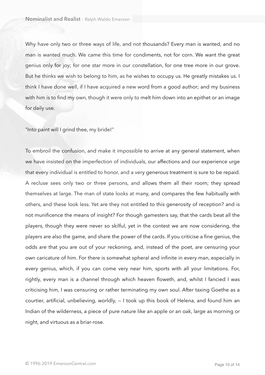Why have only two or three ways of life, and not thousands? Every man is wanted, and no man is wanted much. We came this time for condiments, not for corn. We want the great genius only for joy; for one star more in our constellation, for one tree more in our grove. But he thinks we wish to belong to him, as he wishes to occupy us. He greatly mistakes us. I think I have done well, if I have acquired a new word from a good author; and my business with him is to find my own, though it were only to melt him down into an epithet or an image for daily use.

"Into paint will I grind thee, my bride!"

To embroil the confusion, and make it impossible to arrive at any general statement, when we have insisted on the imperfection of individuals, our affections and our experience urge that every individual is entitled to honor, and a very generous treatment is sure to be repaid. A recluse sees only two or three persons, and allows them all their room; they spread themselves at large. The man of state looks at many, and compares the few habitually with others, and these look less. Yet are they not entitled to this generosity of reception? and is not munificence the means of insight? For though gamesters say, that the cards beat all the players, though they were never so skilful, yet in the contest we are now considering, the players are also the game, and share the power of the cards. If you criticise a fine genius, the odds are that you are out of your reckoning, and, instead of the poet, are censuring your own caricature of him. For there is somewhat spheral and infinite in every man, especially in every genius, which, if you can come very near him, sports with all your limitations. For, rightly, every man is a channel through which heaven floweth, and, whilst I fancied I was criticising him, I was censuring or rather terminating my own soul. After taxing Goethe as a courtier, artificial, unbelieving, worldly, — I took up this book of Helena, and found him an Indian of the wilderness, a piece of pure nature like an apple or an oak, large as morning or night, and virtuous as a briar-rose.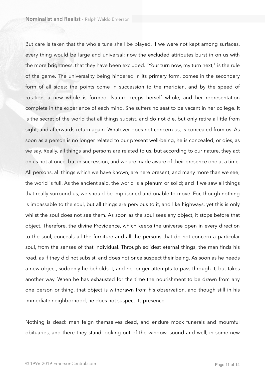But care is taken that the whole tune shall be played. If we were not kept among surfaces, every thing would be large and universal: now the excluded attributes burst in on us with the more brightness, that they have been excluded. "Your turn now, my turn next," is the rule of the game. The universality being hindered in its primary form, comes in the secondary form of all sides: the points come in succession to the meridian, and by the speed of rotation, a new whole is formed. Nature keeps herself whole, and her representation complete in the experience of each mind. She suffers no seat to be vacant in her college. It is the secret of the world that all things subsist, and do not die, but only retire a little from sight, and afterwards return again. Whatever does not concern us, is concealed from us. As soon as a person is no longer related to our present well-being, he is concealed, or dies, as we say. Really, all things and persons are related to us, but according to our nature, they act on us not at once, but in succession, and we are made aware of their presence one at a time. All persons, all things which we have known, are here present, and many more than we see; the world is full. As the ancient said, the world is a plenum or solid; and if we saw all things that really surround us, we should be imprisoned and unable to move. For, though nothing is impassable to the soul, but all things are pervious to it, and like highways, yet this is only whilst the soul does not see them. As soon as the soul sees any object, it stops before that object. Therefore, the divine Providence, which keeps the universe open in every direction to the soul, conceals all the furniture and all the persons that do not concern a particular soul, from the senses of that individual. Through solidest eternal things, the man finds his road, as if they did not subsist, and does not once suspect their being. As soon as he needs a new object, suddenly he beholds it, and no longer attempts to pass through it, but takes another way. When he has exhausted for the time the nourishment to be drawn from any one person or thing, that object is withdrawn from his observation, and though still in his immediate neighborhood, he does not suspect its presence.

Nothing is dead: men feign themselves dead, and endure mock funerals and mournful obituaries, and there they stand looking out of the window, sound and well, in some new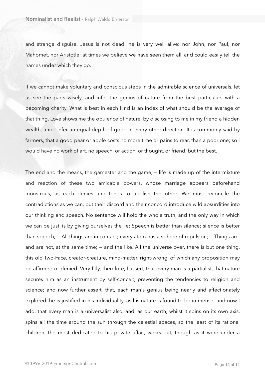and strange disguise. Jesus is not dead: he is very well alive: nor John, nor Paul, nor Mahomet, nor Aristotle; at times we believe we have seen them all, and could easily tell the names under which they go.

If we cannot make voluntary and conscious steps in the admirable science of universals, let us see the parts wisely, and infer the genius of nature from the best particulars with a becoming charity. What is best in each kind is an index of what should be the average of that thing. Love shows me the opulence of nature, by disclosing to me in my friend a hidden wealth, and I infer an equal depth of good in every other direction. It is commonly said by farmers, that a good pear or apple costs no more time or pains to rear, than a poor one; so I would have no work of art, no speech, or action, or thought, or friend, but the best.

The end and the means, the gamester and the game, — life is made up of the intermixture and reaction of these two amicable powers, whose marriage appears beforehand monstrous, as each denies and tends to abolish the other. We must reconcile the contradictions as we can, but their discord and their concord introduce wild absurdities into our thinking and speech. No sentence will hold the whole truth, and the only way in which we can be just, is by giving ourselves the lie; Speech is better than silence; silence is better than speech; — All things are in contact; every atom has a sphere of repulsion; — Things are, and are not, at the same time; — and the like. All the universe over, there is but one thing, this old Two-Face, creator-creature, mind-matter, right-wrong, of which any proposition may be affirmed or denied. Very fitly, therefore, I assert, that every man is a partialist, that nature secures him as an instrument by self-conceit, preventing the tendencies to religion and science; and now further assert, that, each man's genius being nearly and affectionately explored, he is justified in his individuality, as his nature is found to be immense; and now I add, that every man is a universalist also, and, as our earth, whilst it spins on its own axis, spins all the time around the sun through the celestial spaces, so the least of its rational children, the most dedicated to his private affair, works out, though as it were under a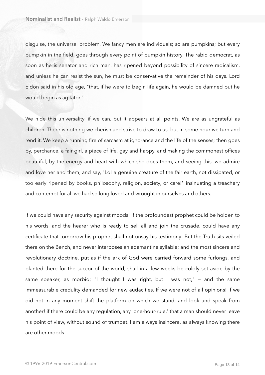disguise, the universal problem. We fancy men are individuals; so are pumpkins; but every pumpkin in the field, goes through every point of pumpkin history. The rabid democrat, as soon as he is senator and rich man, has ripened beyond possibility of sincere radicalism, and unless he can resist the sun, he must be conservative the remainder of his days. Lord Eldon said in his old age, "that, if he were to begin life again, he would be damned but he would begin as agitator."

We hide this universality, if we can, but it appears at all points. We are as ungrateful as children. There is nothing we cherish and strive to draw to us, but in some hour we turn and rend it. We keep a running fire of sarcasm at ignorance and the life of the senses; then goes by, perchance, a fair girl, a piece of life, gay and happy, and making the commonest offices beautiful, by the energy and heart with which she does them, and seeing this, we admire and love her and them, and say, "Lo! a genuine creature of the fair earth, not dissipated, or too early ripened by books, philosophy, religion, society, or care!" insinuating a treachery and contempt for all we had so long loved and wrought in ourselves and others.

If we could have any security against moods! If the profoundest prophet could be holden to his words, and the hearer who is ready to sell all and join the crusade, could have any certificate that tomorrow his prophet shall not unsay his testimony! But the Truth sits veiled there on the Bench, and never interposes an adamantine syllable; and the most sincere and revolutionary doctrine, put as if the ark of God were carried forward some furlongs, and planted there for the succor of the world, shall in a few weeks be coldly set aside by the same speaker, as morbid; "I thought I was right, but I was not," — and the same immeasurable credulity demanded for new audacities. If we were not of all opinions! if we did not in any moment shift the platform on which we stand, and look and speak from another! if there could be any regulation, any 'one-hour-rule,' that a man should never leave his point of view, without sound of trumpet. I am always insincere, as always knowing there are other moods.